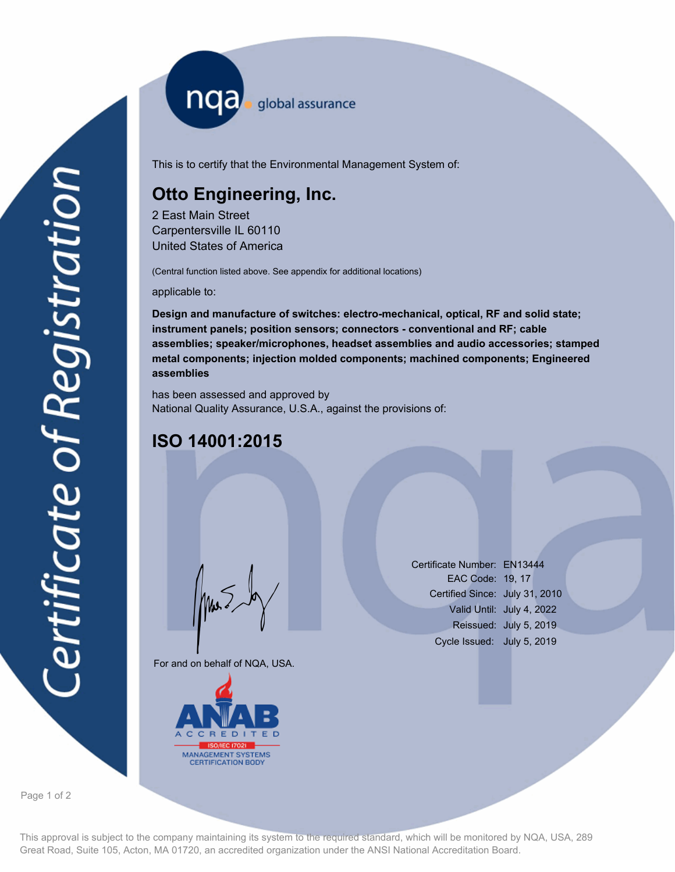nqa <sub>global assurance</sub>

This is to certify that the Environmental Management System of:

## **Otto Engineering, Inc.**

2 East Main Street Carpentersville IL 60110 United States of America

(Central function listed above. See appendix for additional locations)

applicable to:

**Design and manufacture of switches: electro-mechanical, optical, RF and solid state; instrument panels; position sensors; connectors - conventional and RF; cable assemblies; speaker/microphones, headset assemblies and audio accessories; stamped metal components; injection molded components; machined components; Engineered assemblies**

has been assessed and approved by National Quality Assurance, U.S.A., against the provisions of:

## **ISO 14001:2015**

For and on behalf of NQA, USA.

Mus



Certificate Number: EN13444 EAC Code: 19, 17 Certified Since: July 31, 2010 Valid Until: July 4, 2022 Reissued: July 5, 2019 Cycle Issued: July 5, 2019

Page 1 of 2

This approval is subject to the company maintaining its system to the required standard, which will be monitored by NQA, USA, 289 Great Road, Suite 105, Acton, MA 01720, an accredited organization under the ANSI National Accreditation Board.